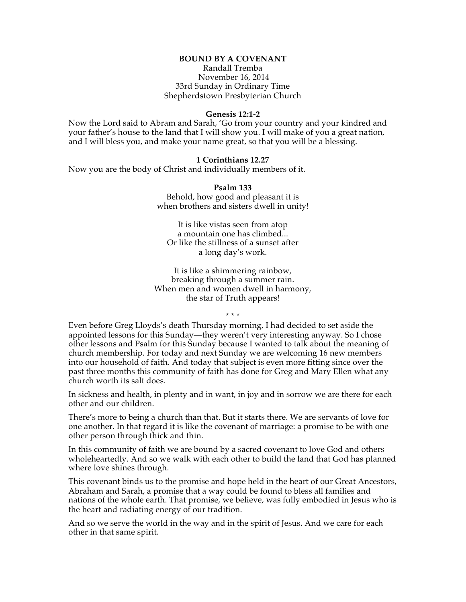## **BOUND BY A COVENANT**

Randall Tremba November 16, 2014 33rd Sunday in Ordinary Time Shepherdstown Presbyterian Church

## **Genesis 12:1-2**

Now the Lord said to Abram and Sarah, 'Go from your country and your kindred and your father's house to the land that I will show you. I will make of you a great nation, and I will bless you, and make your name great, so that you will be a blessing.

## **1 Corinthians 12.27**

Now you are the body of Christ and individually members of it.

**Psalm 133** Behold, how good and pleasant it is when brothers and sisters dwell in unity!

It is like vistas seen from atop a mountain one has climbed... Or like the stillness of a sunset after a long day's work.

It is like a shimmering rainbow, breaking through a summer rain. When men and women dwell in harmony, the star of Truth appears!

\* \* \*

Even before Greg Lloyds's death Thursday morning, I had decided to set aside the appointed lessons for this Sunday—they weren't very interesting anyway. So I chose other lessons and Psalm for this Sunday because I wanted to talk about the meaning of church membership. For today and next Sunday we are welcoming 16 new members into our household of faith. And today that subject is even more fitting since over the past three months this community of faith has done for Greg and Mary Ellen what any church worth its salt does.

In sickness and health, in plenty and in want, in joy and in sorrow we are there for each other and our children.

There's more to being a church than that. But it starts there. We are servants of love for one another. In that regard it is like the covenant of marriage: a promise to be with one other person through thick and thin.

In this community of faith we are bound by a sacred covenant to love God and others wholeheartedly. And so we walk with each other to build the land that God has planned where love shines through.

This covenant binds us to the promise and hope held in the heart of our Great Ancestors, Abraham and Sarah, a promise that a way could be found to bless all families and nations of the whole earth. That promise, we believe, was fully embodied in Jesus who is the heart and radiating energy of our tradition.

And so we serve the world in the way and in the spirit of Jesus. And we care for each other in that same spirit.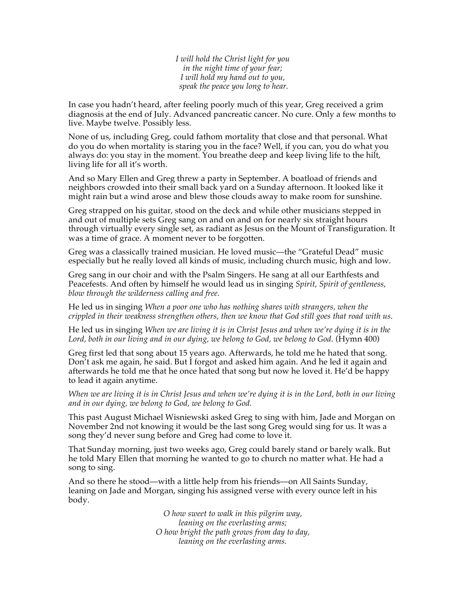*I will hold the Christ light for you in the night time of your fear; I will hold my hand out to you, speak the peace you long to hear.*

In case you hadn't heard, after feeling poorly much of this year, Greg received a grim diagnosis at the end of July. Advanced pancreatic cancer. No cure. Only a few months to live. Maybe twelve. Possibly less.

None of us, including Greg, could fathom mortality that close and that personal. What do you do when mortality is staring you in the face? Well, if you can, you do what you always do: you stay in the moment. You breathe deep and keep living life to the hilt, living life for all it's worth.

And so Mary Ellen and Greg threw a party in September. A boatload of friends and neighbors crowded into their small back yard on a Sunday afternoon. It looked like it might rain but a wind arose and blew those clouds away to make room for sunshine.

Greg strapped on his guitar, stood on the deck and while other musicians stepped in and out of multiple sets Greg sang on and on and on for nearly six straight hours through virtually every single set, as radiant as Jesus on the Mount of Transfiguration. It was a time of grace. A moment never to be forgotten.

Greg was a classically trained musician. He loved music—the "Grateful Dead" music especially but he really loved all kinds of music, including church music, high and low.

Greg sang in our choir and with the Psalm Singers. He sang at all our Earthfests and Peacefests. And often by himself he would lead us in singing *Spirit, Spirit of gentleness, blow through the wilderness calling and free.*

He led us in singing *When a poor one who has nothing shares with strangers, when the crippled in their weakness strengthen others, then we know that God still goes that road with us*.

He led us in singing *When we are living it is in Christ Jesus and when we're dying it is in the Lord, both in our living and in our dying, we belong to God, we belong to God.* (Hymn 400)

Greg first led that song about 15 years ago. Afterwards, he told me he hated that song. Don't ask me again, he said. But I forgot and asked him again. And he led it again and afterwards he told me that he once hated that song but now he loved it. He'd be happy to lead it again anytime.

*When we are living it is in Christ Jesus and when we're dying it is in the Lord, both in our living and in our dying, we belong to God, we belong to God.*

This past August Michael Wisniewski asked Greg to sing with him, Jade and Morgan on November 2nd not knowing it would be the last song Greg would sing for us. It was a song they'd never sung before and Greg had come to love it.

That Sunday morning, just two weeks ago, Greg could barely stand or barely walk. But he told Mary Ellen that morning he wanted to go to church no matter what. He had a song to sing.

And so there he stood—with a little help from his friends—on All Saints Sunday, leaning on Jade and Morgan, singing his assigned verse with every ounce left in his body.

> *O how sweet to walk in this pilgrim way, leaning on the everlasting arms; O how bright the path grows from day to day, leaning on the everlasting arms.*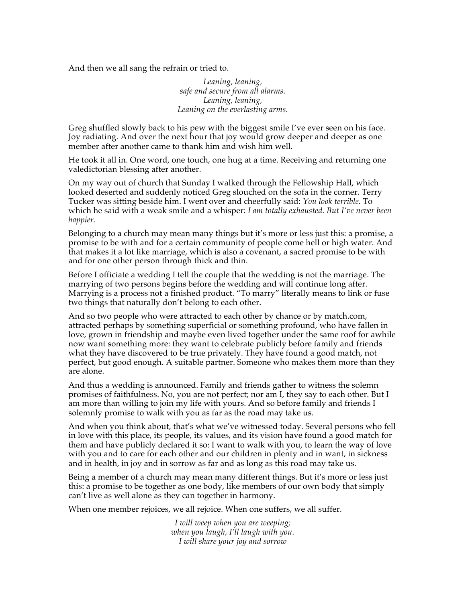And then we all sang the refrain or tried to.

*Leaning, leaning, safe and secure from all alarms. Leaning, leaning, Leaning on the everlasting arms.*

Greg shuffled slowly back to his pew with the biggest smile I've ever seen on his face. Joy radiating. And over the next hour that joy would grow deeper and deeper as one member after another came to thank him and wish him well.

He took it all in. One word, one touch, one hug at a time. Receiving and returning one valedictorian blessing after another.

On my way out of church that Sunday I walked through the Fellowship Hall, which looked deserted and suddenly noticed Greg slouched on the sofa in the corner. Terry Tucker was sitting beside him. I went over and cheerfully said: *You look terrible.* To which he said with a weak smile and a whisper: *I am totally exhausted. But I've never been happier.*

Belonging to a church may mean many things but it's more or less just this: a promise, a promise to be with and for a certain community of people come hell or high water. And that makes it a lot like marriage, which is also a covenant, a sacred promise to be with and for one other person through thick and thin.

Before I officiate a wedding I tell the couple that the wedding is not the marriage. The marrying of two persons begins before the wedding and will continue long after. Marrying is a process not a finished product. "To marry" literally means to link or fuse two things that naturally don't belong to each other.

And so two people who were attracted to each other by chance or by match.com, attracted perhaps by something superficial or something profound, who have fallen in love, grown in friendship and maybe even lived together under the same roof for awhile now want something more: they want to celebrate publicly before family and friends what they have discovered to be true privately. They have found a good match, not perfect, but good enough. A suitable partner. Someone who makes them more than they are alone.

And thus a wedding is announced. Family and friends gather to witness the solemn promises of faithfulness. No, you are not perfect; nor am I, they say to each other. But I am more than willing to join my life with yours. And so before family and friends I solemnly promise to walk with you as far as the road may take us.

And when you think about, that's what we've witnessed today. Several persons who fell in love with this place, its people, its values, and its vision have found a good match for them and have publicly declared it so: I want to walk with you, to learn the way of love with you and to care for each other and our children in plenty and in want, in sickness and in health, in joy and in sorrow as far and as long as this road may take us.

Being a member of a church may mean many different things. But it's more or less just this: a promise to be together as one body, like members of our own body that simply can't live as well alone as they can together in harmony.

When one member rejoices, we all rejoice. When one suffers, we all suffer.

*I will weep when you are weeping; when you laugh, I'll laugh with you. I will share your joy and sorrow*